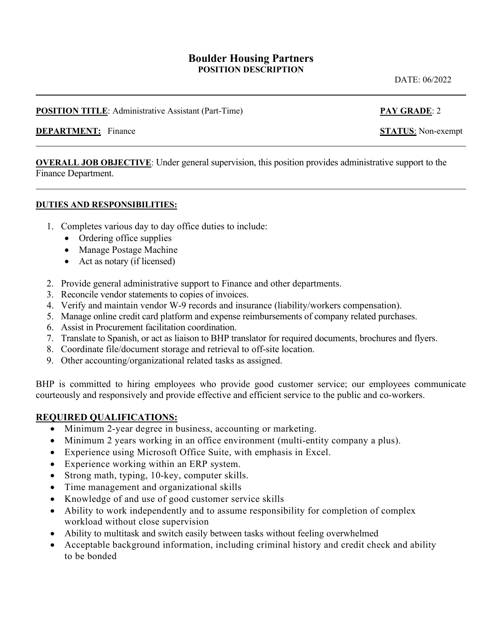# **Boulder Housing Partners POSITION DESCRIPTION**

DATE: 06/2022

### **POSITION TITLE**: Administrative Assistant (Part-Time) **PAY GRADE**: 2

#### **DEPARTMENT:** Finance **STATUS**: Non-exempt

**OVERALL JOB OBJECTIVE**: Under general supervision, this position provides administrative support to the Finance Department.

#### **DUTIES AND RESPONSIBILITIES:**

- 1. Completes various day to day office duties to include:
	- Ordering office supplies
	- Manage Postage Machine
	- Act as notary (if licensed)
- 2. Provide general administrative support to Finance and other departments.
- 3. Reconcile vendor statements to copies of invoices.
- 4. Verify and maintain vendor W-9 records and insurance (liability/workers compensation).
- 5. Manage online credit card platform and expense reimbursements of company related purchases.
- 6. Assist in Procurement facilitation coordination.
- 7. Translate to Spanish, or act as liaison to BHP translator for required documents, brochures and flyers.
- 8. Coordinate file/document storage and retrieval to off-site location.
- 9. Other accounting/organizational related tasks as assigned.

BHP is committed to hiring employees who provide good customer service; our employees communicate courteously and responsively and provide effective and efficient service to the public and co-workers.

### **REQUIRED QUALIFICATIONS:**

- Minimum 2-year degree in business, accounting or marketing.
- Minimum 2 years working in an office environment (multi-entity company a plus).
- Experience using Microsoft Office Suite, with emphasis in Excel.
- Experience working within an ERP system.
- Strong math, typing, 10-key, computer skills.
- Time management and organizational skills
- Knowledge of and use of good customer service skills
- Ability to work independently and to assume responsibility for completion of complex workload without close supervision
- Ability to multitask and switch easily between tasks without feeling overwhelmed
- Acceptable background information, including criminal history and credit check and ability to be bonded